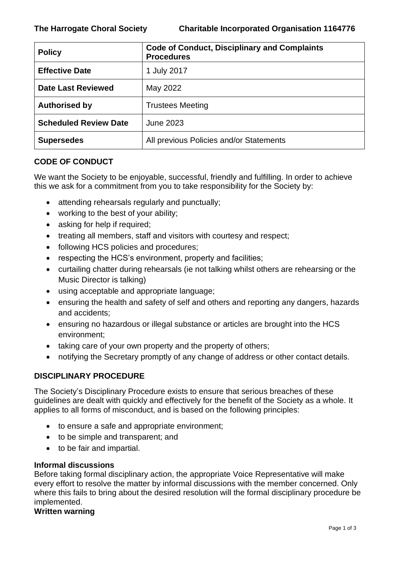| <b>Policy</b>                | <b>Code of Conduct, Disciplinary and Complaints</b><br><b>Procedures</b> |
|------------------------------|--------------------------------------------------------------------------|
| <b>Effective Date</b>        | 1 July 2017                                                              |
| <b>Date Last Reviewed</b>    | May 2022                                                                 |
| <b>Authorised by</b>         | <b>Trustees Meeting</b>                                                  |
| <b>Scheduled Review Date</b> | June 2023                                                                |
| <b>Supersedes</b>            | All previous Policies and/or Statements                                  |

## **CODE OF CONDUCT**

We want the Society to be enjoyable, successful, friendly and fulfilling. In order to achieve this we ask for a commitment from you to take responsibility for the Society by:

- attending rehearsals regularly and punctually;
- working to the best of your ability;
- asking for help if required;
- treating all members, staff and visitors with courtesy and respect;
- following HCS policies and procedures;
- respecting the HCS's environment, property and facilities;
- curtailing chatter during rehearsals (ie not talking whilst others are rehearsing or the Music Director is talking)
- using acceptable and appropriate language;
- ensuring the health and safety of self and others and reporting any dangers, hazards and accidents;
- ensuring no hazardous or illegal substance or articles are brought into the HCS environment;
- taking care of your own property and the property of others;
- notifying the Secretary promptly of any change of address or other contact details.

# **DISCIPLINARY PROCEDURE**

The Society's Disciplinary Procedure exists to ensure that serious breaches of these guidelines are dealt with quickly and effectively for the benefit of the Society as a whole. It applies to all forms of misconduct, and is based on the following principles:

- to ensure a safe and appropriate environment;
- to be simple and transparent; and
- to be fair and impartial.

### **Informal discussions**

Before taking formal disciplinary action, the appropriate Voice Representative will make every effort to resolve the matter by informal discussions with the member concerned. Only where this fails to bring about the desired resolution will the formal disciplinary procedure be implemented.

### **Written warning**